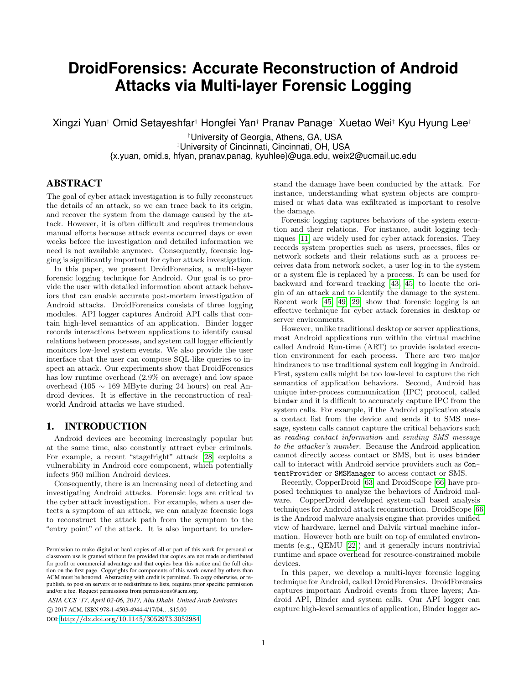# **DroidForensics: Accurate Reconstruction of Android Attacks via Multi-layer Forensic Logging**

Xingzi Yuan† Omid Setayeshfar† Hongfei Yan† Pranav Panage† Xuetao Wei‡ Kyu Hyung Lee†

†University of Georgia, Athens, GA, USA ‡University of Cincinnati, Cincinnati, OH, USA {x.yuan, omid.s, hfyan, pranav.panag, kyuhlee}@uga.edu, weix2@ucmail.uc.edu

# ABSTRACT

The goal of cyber attack investigation is to fully reconstruct the details of an attack, so we can trace back to its origin, and recover the system from the damage caused by the attack. However, it is often difficult and requires tremendous manual efforts because attack events occurred days or even weeks before the investigation and detailed information we need is not available anymore. Consequently, forensic logging is significantly important for cyber attack investigation.

In this paper, we present DroidForensics, a multi-layer forensic logging technique for Android. Our goal is to provide the user with detailed information about attack behaviors that can enable accurate post-mortem investigation of Android attacks. DroidForensics consists of three logging modules. API logger captures Android API calls that contain high-level semantics of an application. Binder logger records interactions between applications to identify causal relations between processes, and system call logger efficiently monitors low-level system events. We also provide the user interface that the user can compose SQL-like queries to inspect an attack. Our experiments show that DroidForensics has low runtime overhead (2.9% on average) and low space overhead (105 ∼ 169 MByte during 24 hours) on real Android devices. It is effective in the reconstruction of realworld Android attacks we have studied.

## 1. INTRODUCTION

Android devices are becoming increasingly popular but at the same time, also constantly attract cyber criminals. For example, a recent "stagefright" attack [\[28\]](#page-10-0) exploits a vulnerability in Android core component, which potentially infects 950 million Android devices.

Consequently, there is an increasing need of detecting and investigating Android attacks. Forensic logs are critical to the cyber attack investigation. For example, when a user detects a symptom of an attack, we can analyze forensic logs to reconstruct the attack path from the symptom to the "entry point" of the attack. It is also important to under-

*ASIA CCS '17, April 02-06, 2017, Abu Dhabi, United Arab Emirates* c 2017 ACM. ISBN 978-1-4503-4944-4/17/04. . . \$15.00 DOI: <http://dx.doi.org/10.1145/3052973.3052984>

stand the damage have been conducted by the attack. For instance, understanding what system objects are compromised or what data was exfiltrated is important to resolve the damage.

Forensic logging captures behaviors of the system execution and their relations. For instance, audit logging techniques [\[11\]](#page-10-1) are widely used for cyber attack forensics. They records system properties such as users, processes, files or network sockets and their relations such as a process receives data from network socket, a user log-in to the system or a system file is replaced by a process. It can be used for backward and forward tracking [\[43,](#page-11-0) [45\]](#page-11-1) to locate the origin of an attack and to identify the damage to the system. Recent work [\[45,](#page-11-1) [49,](#page-11-2) [29\]](#page-10-2) show that forensic logging is an effective technique for cyber attack forensics in desktop or server environments.

However, unlike traditional desktop or server applications, most Android applications run within the virtual machine called Android Run-time (ART) to provide isolated execution environment for each process. There are two major hindrances to use traditional system call logging in Android. First, system calls might be too low-level to capture the rich semantics of application behaviors. Second, Android has unique inter-process communication (IPC) protocol, called binder and it is difficult to accurately capture IPC from the system calls. For example, if the Android application steals a contact list from the device and sends it to SMS message, system calls cannot capture the critical behaviors such as reading contact information and sending SMS message to the attacker's number. Because the Android application cannot directly access contact or SMS, but it uses binder call to interact with Android service providers such as ContentProvider or SMSManager to access contact or SMS.

Recently, CopperDroid [\[63\]](#page-11-3) and DroidScope [\[66\]](#page-11-4) have proposed techniques to analyze the behaviors of Android malware. CopperDroid developed system-call based analysis techniques for Android attack reconstruction. DroidScope [\[66\]](#page-11-4) is the Android malware analysis engine that provides unified view of hardware, kernel and Dalvik virtual machine information. However both are built on top of emulated environments (e.g., QEMU [\[22\]](#page-10-3)) and it generally incurs nontrivial runtime and space overhead for resource-constrained mobile devices.

In this paper, we develop a multi-layer forensic logging technique for Android, called DroidForensics. DroidForensics captures important Android events from three layers; Android API, Binder and system calls. Our API logger can capture high-level semantics of application, Binder logger ac-

Permission to make digital or hard copies of all or part of this work for personal or classroom use is granted without fee provided that copies are not made or distributed for profit or commercial advantage and that copies bear this notice and the full citation on the first page. Copyrights for components of this work owned by others than ACM must be honored. Abstracting with credit is permitted. To copy otherwise, or republish, to post on servers or to redistribute to lists, requires prior specific permission and/or a fee. Request permissions from permissions@acm.org.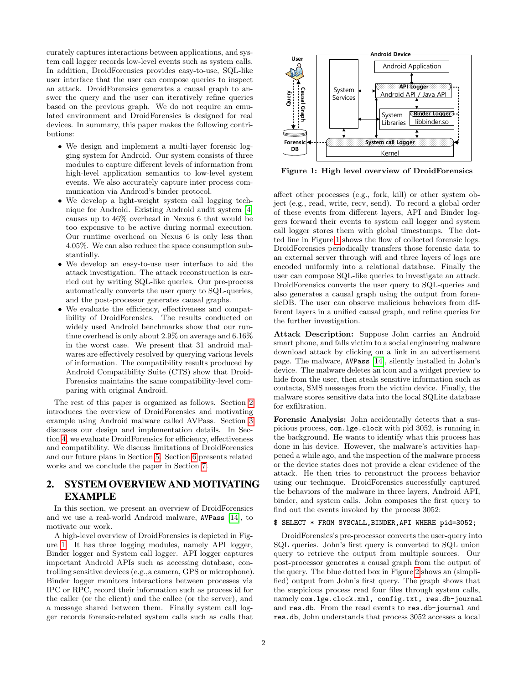curately captures interactions between applications, and system call logger records low-level events such as system calls. In addition, DroidForensics provides easy-to-use, SQL-like user interface that the user can compose queries to inspect an attack. DroidForensics generates a causal graph to answer the query and the user can iteratively refine queries based on the previous graph. We do not require an emulated environment and DroidForensics is designed for real devices. In summary, this paper makes the following contributions:

- We design and implement a multi-layer forensic logging system for Android. Our system consists of three modules to capture different levels of information from high-level application semantics to low-level system events. We also accurately capture inter process communication via Android's binder protocol.
- We develop a light-weight system call logging technique for Android. Existing Android audit system [\[4\]](#page-10-4) causes up to 46% overhead in Nexus 6 that would be too expensive to be active during normal execution. Our runtime overhead on Nexus 6 is only less than 4.05%. We can also reduce the space consumption substantially.
- We develop an easy-to-use user interface to aid the attack investigation. The attack reconstruction is carried out by writing SQL-like queries. Our pre-process automatically converts the user query to SQL-queries, and the post-processor generates causal graphs.
- We evaluate the efficiency, effectiveness and compatibility of DroidForensics. The results conducted on widely used Android benchmarks show that our runtime overhead is only about 2.9% on average and 6.16% in the worst case. We present that 31 android malwares are effectively resolved by querying various levels of information. The compatibility results produced by Android Compatibility Suite (CTS) show that Droid-Forensics maintains the same compatibility-level comparing with original Android.

The rest of this paper is organized as follows. Section [2](#page-1-0) introduces the overview of DroidForensics and motivating example using Android malware called AVPass. Section [3](#page-2-0) discusses our design and implementation details. In Section [4,](#page-6-0) we evaluate DroidForensics for efficiency, effectiveness and compatibility. We discuss limitations of DroidForensics and our future plans in Section [5.](#page-8-0) Section [6](#page-9-0) presents related works and we conclude the paper in Section [7.](#page-10-5)

# <span id="page-1-0"></span>2. SYSTEM OVERVIEW AND MOTIVATING EXAMPLE

In this section, we present an overview of DroidForensics and we use a real-world Android malware, AVPass [\[14\]](#page-10-6), to motivate our work.

A high-level overview of DroidForensics is depicted in Figure [1.](#page-1-1) It has three logging modules, namely API logger, Binder logger and System call logger. API logger captures important Android APIs such as accessing database, controlling sensitive devices (e.g.,a camera, GPS or microphone). Binder logger monitors interactions between processes via IPC or RPC, record their information such as process id for the caller (or the client) and the callee (or the server), and a message shared between them. Finally system call logger records forensic-related system calls such as calls that

<span id="page-1-1"></span>

Figure 1: High level overview of DroidForensics

affect other processes (e.g., fork, kill) or other system object (e.g., read, write, recv, send). To record a global order of these events from different layers, API and Binder loggers forward their events to system call logger and system call logger stores them with global timestamps. The dotted line in Figure [1](#page-1-1) shows the flow of collected forensic logs. DroidForensics periodically transfers those forensic data to an external server through wifi and three layers of logs are encoded uniformly into a relational database. Finally the user can compose SQL-like queries to investigate an attack. DroidForensics converts the user query to SQL-queries and also generates a causal graph using the output from forensicDB. The user can observe malicious behaviors from different layers in a unified causal graph, and refine queries for the further investigation.

Attack Description: Suppose John carries an Android smart phone, and falls victim to a social engineering malware download attack by clicking on a link in an advertisement page. The malware, AVPass [\[14\]](#page-10-6), silently installed in John's device. The malware deletes an icon and a widget preview to hide from the user, then steals sensitive information such as contacts, SMS messages from the victim device. Finally, the malware stores sensitive data into the local SQLite database for exfiltration.

Forensic Analysis: John accidentally detects that a suspicious process, com.lge.clock with pid 3052, is running in the background. He wants to identify what this process has done in his device. However, the malware's activities happened a while ago, and the inspection of the malware process or the device states does not provide a clear evidence of the attack. He then tries to reconstruct the process behavior using our technique. DroidForensics successfully captured the behaviors of the malware in three layers, Android API, binder, and system calls. John composes the first query to find out the events invoked by the process 3052:

#### \$ SELECT \* FROM SYSCALL,BINDER,API WHERE pid=3052;

DroidForensics's pre-processor converts the user-query into SQL queries. John's first query is converted to SQL union query to retrieve the output from multiple sources. Our post-processor generates a causal graph from the output of the query. The blue dotted box in Figure [2](#page-2-1) shows an (simplified) output from John's first query. The graph shows that the suspicious process read four files through system calls, namely com.lge.clock.xml, config.txt, res.db-journal and res.db. From the read events to res.db-journal and res.db, John understands that process 3052 accesses a local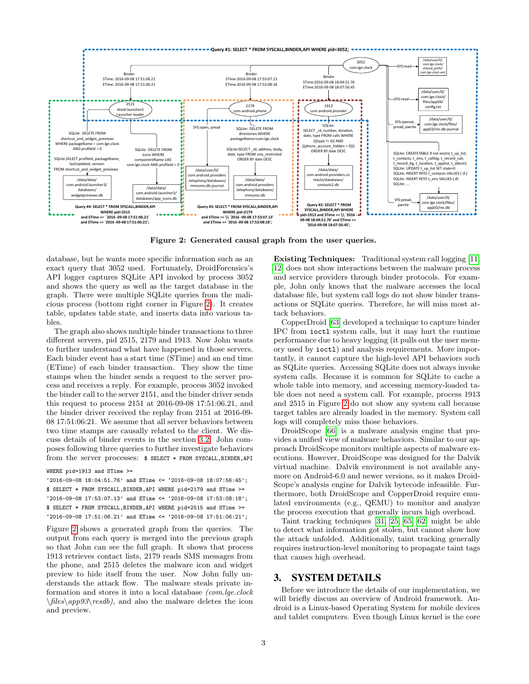<span id="page-2-1"></span>

Figure 2: Generated causal graph from the user queries.

database, but he wants more specific information such as an exact query that 3052 used. Fortunately, DroidForensics's API logger captures SQLite API invoked by process 3052 and shows the query as well as the target database in the graph. There were multiple SQLite queries from the malicious process (bottom right corner in Figure [2\)](#page-2-1). It creates table, updates table state, and inserts data into various tables.

The graph also shows multiple binder transactions to three different servers, pid 2515, 2179 and 1913. Now John wants to further understand what have happened in those servers. Each binder event has a start time (STime) and an end time (ETime) of each binder transaction. They show the time stamps when the binder sends a request to the server process and receives a reply. For example, process 3052 invoked the binder call to the server 2151, and the binder driver sends this request to process 2151 at 2016-09-08 17:51:06.21, and the binder driver received the replay from 2151 at 2016-09- 08 17:51:06:21. We assume that all server behaviors between two time stamps are causally related to the client. We discuss details of binder events in the section [3.2.](#page-3-0) John composes following three queries to further investigate behaviors from the server processes: \$ SELECT \* FROM SYSCALL,BINDER,API

```
WHERE pid=1913 and STime >=
```

```
'2016-09-08 18:04:51.76' and ETime <= '2016-09-08 18:07:56:45';
$ SELECT * FROM SYSCALL,BINDER,API WHERE pid=2179 and STime >=
'2016-09-08 17:53:07.13' and ETime <= '2016-09-08 17:53:08:18';
$ SELECT * FROM SYSCALL,BINDER,API WHERE pid=2515 and STime >=
'2016-09-08 17:51:06.21' and ETime <= '2016-09-08 17:51:06:21';
```
Figure [2](#page-2-1) shows a generated graph from the queries. The output from each query is merged into the previous graph so that John can see the full graph. It shows that process 1913 retrieves contact lists, 2179 reads SMS messages from the phone, and 2515 deletes the malware icon and widget preview to hide itself from the user. Now John fully understands the attack flow. The malware steals private information and stores it into a local database (com.lge.clock  $\hbarles\$ app93\resdb), and also the malware deletes the icon and preview.

Existing Techniques: Traditional system call logging [\[11,](#page-10-1) [12\]](#page-10-7) does not show interactions between the malware process and service providers through binder protocols. For example, John only knows that the malware accesses the local database file, but system call logs do not show binder transactions or SQLite queries. Therefore, he will miss most attack behaviors.

CopperDroid [\[63\]](#page-11-3) developed a technique to capture binder IPC from ioctl system calls, but it may hurt the runtime performance due to heavy logging (it pulls out the user memory used by ioctl) and analysis requirements. More importantly, it cannot capture the high-level API behaviors such as SQLite queries. Accessing SQLite does not always invoke system calls. Because it is common for SQLite to cache a whole table into memory, and accessing memory-loaded table does not need a system call. For example, process 1913 and 2515 in Figure [2](#page-2-1) do not show any system call because target tables are already loaded in the memory. System call logs will completely miss those behaviors.

DroidScope [\[66\]](#page-11-4) is a malware analysis engine that provides a unified view of malware behaviors. Similar to our approach DroidScope monitors multiple aspects of malware executions. However, DroidScope was designed for the Dalvik virtual machine. Dalvik environment is not available anymore on Android-6.0 and newer versions, so it makes Droid-Scope's analysis engine for Dalvik bytecode infeasible. Furthermore, both DroidScope and CopperDroid require emulated environments (e.g., QEMU) to monitor and analyze the process execution that generally incurs high overhead.

Taint tracking techniques [\[31,](#page-10-8) [25,](#page-10-9) [65,](#page-11-5) [62\]](#page-11-6) might be able to detect what information got stolen, but cannot show how the attack unfolded. Additionally, taint tracking generally requires instruction-level monitoring to propagate taint tags that causes high overhead.

## <span id="page-2-0"></span>3. SYSTEM DETAILS

Before we introduce the details of our implementation, we will briefly discuss an overview of Android framework. Android is a Linux-based Operating System for mobile devices and tablet computers. Even though Linux kernel is the core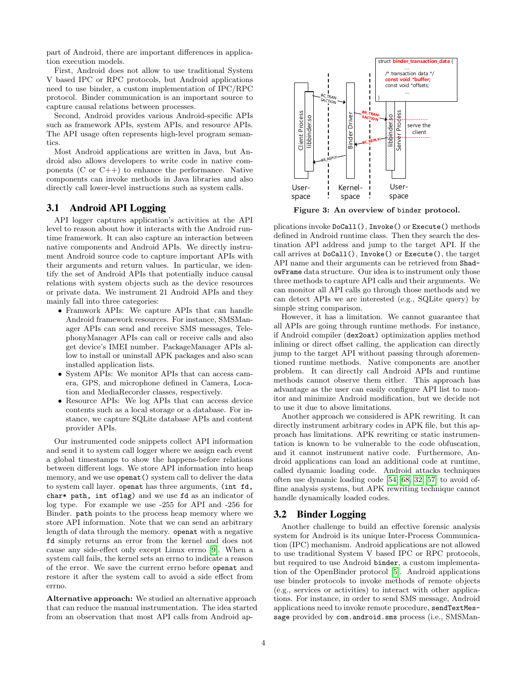part of Android, there are important differences in application execution models.

First, Android does not allow to use traditional System V based IPC or RPC protocols, but Android applications need to use binder, a custom implementation of IPC/RPC protocol. Binder communication is an important source to capture causal relations between processes.

Second, Android provides various Android-specific APIs such as framework APIs, system APIs, and resource APIs. The API usage often represents high-level program semantics.

Most Android applications are written in Java, but Android also allows developers to write code in native components (C or C++) to enhance the performance. Native components can invoke methods in Java libraries and also directly call lower-level instructions such as system calls.

#### <span id="page-3-2"></span>3.1 Android API Logging

API logger captures application's activities at the API level to reason about how it interacts with the Android runtime framework. It can also capture an interaction between native components and Android APIs. We directly instrument Android source code to capture important APIs with their arguments and return values. In particular, we identify the set of Android APIs that potentially induce causal relations with system objects such as the device resources or private data. We instrument 21 Android APIs and they mainly fall into three categories:

- Framwork APIs: We capture APIs that can handle Android framework resources. For instance, SMSManager APIs can send and receive SMS messages, TelephonyManager APIs can call or receive calls and also get device's IMEI number. PackageManager APIs allow to install or uninstall APK packages and also scan installed application lists.
- System APIs: We monitor APIs that can access camera, GPS, and microphone defined in Camera, Location and MediaRecorder classes, respectively.
- Resource APIs: We log APIs that can access device contents such as a local storage or a database. For instance, we capture SQLite database APIs and content provider APIs.

Our instrumented code snippets collect API information and send it to system call logger where we assign each event a global timestamps to show the happens-before relations between different logs. We store API information into heap memory, and we use openat () system call to deliver the data to system call layer. openat has three arguments, (int fd, char\* path, int oflag) and we use fd as an indicator of log type. For example we use -255 for API and -256 for Binder. path points to the process heap memory where we store API information. Note that we can send an arbitrary length of data through the memory. openat with a negative fd simply returns an error from the kernel and does not cause any side-effect only except Linux errno [\[9\]](#page-10-10). When a system call fails, the kernel sets an errno to indicate a reason of the error. We save the current errno before openat and restore it after the system call to avoid a side effect from errno.

Alternative approach: We studied an alternative approach that can reduce the manual instrumentation. The idea started from an observation that most API calls from Android ap-

<span id="page-3-1"></span>

Figure 3: An overview of binder protocol.

plications invoke DoCall(), Invoke() or Execute() methods defined in Android runtime class. Then they search the destination API address and jump to the target API. If the call arrives at DoCall(), Invoke() or Execute(), the target API name and their arguments can be retrieved from ShadowFrame data structure. Our idea is to instrument only those three methods to capture API calls and their arguments. We can monitor all API calls go through those methods and we can detect APIs we are interested (e.g., SQLite query) by simple string comparison.

However, it has a limitation. We cannot guarantee that all APIs are going through runtime methods. For instance, if Android compiler (dex2oat) optimization applies method inlining or direct offset calling, the application can directly jump to the target API without passing through aforementioned runtime methods. Native components are another problem. It can directly call Android APIs and runtime methods cannot observe them either. This approach has advantage as the user can easily configure API list to monitor and minimize Android modification, but we decide not to use it due to above limitations.

Another approach we considered is APK rewriting. It can directly instrument arbitrary codes in APK file, but this approach has limitations. APK rewriting or static instrumentation is known to be vulnerable to the code obfuscation, and it cannot instrument native code. Furthermore, Android applications can load an additional code at runtime, called dynamic loading code. Android attacks techniques often use dynamic loading code [\[54,](#page-11-7) [68,](#page-11-8) [32,](#page-11-9) [57\]](#page-11-10) to avoid offline analysis systems, but APK rewriting technique cannot handle dynamically loaded codes.

#### <span id="page-3-0"></span>3.2 Binder Logging

Another challenge to build an effective forensic analysis system for Android is its unique Inter-Process Communication (IPC) mechanism. Android applications are not allowed to use traditional System V based IPC or RPC protocols, but required to use Android binder, a custom implementation of the OpenBinder protocol [\[5\]](#page-10-11). Android applications use binder protocols to invoke methods of remote objects (e.g., services or activities) to interact with other applications. For instance, in order to send SMS message, Android applications need to invoke remote procedure, sendTextMessage provided by com.android.sms process (i.e., SMSMan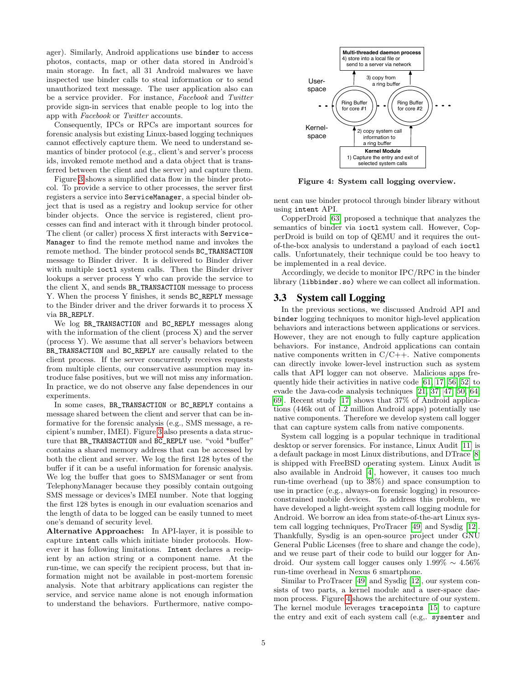ager). Similarly, Android applications use binder to access photos, contacts, map or other data stored in Android's main storage. In fact, all 31 Android malwares we have inspected use binder calls to steal information or to send unauthorized text message. The user application also can be a service provider. For instance, Facebook and Twitter provide sign-in services that enable people to log into the app with Facebook or Twitter accounts.

Consequently, IPCs or RPCs are important sources for forensic analysis but existing Linux-based logging techniques cannot effectively capture them. We need to understand semantics of binder protocol (e.g., client's and server's process ids, invoked remote method and a data object that is transferred between the client and the server) and capture them.

Figure [3](#page-3-1) shows a simplified data flow in the binder protocol. To provide a service to other processes, the server first registers a service into ServiceManager, a special binder object that is used as a registry and lookup service for other binder objects. Once the service is registered, client processes can find and interact with it through binder protocol. The client (or caller) process X first interacts with Service-Manager to find the remote method name and invokes the remote method. The binder protocol sends BC\_TRANSACTION message to Binder driver. It is delivered to Binder driver with multiple ioctl system calls. Then the Binder driver lookups a server process Y who can provide the service to the client X, and sends BR\_TRANSACTION message to process Y. When the process Y finishes, it sends BC\_REPLY message to the Binder driver and the driver forwards it to process X via BR\_REPLY.

We log BR\_TRANSACTION and BC\_REPLY messages along with the information of the client (process X) and the server (process Y). We assume that all server's behaviors between BR\_TRANSACTION and BC\_REPLY are causally related to the client process. If the server concurrently receives requests from multiple clients, our conservative assumption may introduce false positives, but we will not miss any information. In practice, we do not observe any false dependences in our experiments.

In some cases, BR\_TRANSACTION or BC\_REPLY contains a message shared between the client and server that can be informative for the forensic analysis (e.g., SMS message, a recipient's number, IMEI). Figure [3](#page-3-1) also presents a data structure that BR\_TRANSACTION and BC\_REPLY use. "void \*buffer" contains a shared memory address that can be accessed by both the client and server. We log the first 128 bytes of the buffer if it can be a useful information for forensic analysis. We log the buffer that goes to SMSManager or sent from TelephonyManager because they possibly contain outgoing SMS message or devices's IMEI number. Note that logging the first 128 bytes is enough in our evaluation scenarios and the length of data to be logged can be easily tunned to meet one's demand of security level.

Alternative Approaches: In API-layer, it is possible to capture intent calls which initiate binder protocols. However it has following limitations. Intent declares a recipient by an action string or a component name. At the run-time, we can specify the recipient process, but that information might not be available in post-mortem forensic analysis. Note that arbitrary applications can register the service, and service name alone is not enough information to understand the behaviors. Furthermore, native compo-

<span id="page-4-0"></span>

Figure 4: System call logging overview.

nent can use binder protocol through binder library without using intent API.

CopperDroid [\[63\]](#page-11-3) proposed a technique that analyzes the semantics of binder via ioctl system call. However, CopperDroid is build on top of QEMU and it requires the outof-the-box analysis to understand a payload of each ioctl calls. Unfortunately, their technique could be too heavy to be implemented in a real device.

Accordingly, we decide to monitor IPC/RPC in the binder library (libbinder.so) where we can collect all information.

#### 3.3 System call Logging

In the previous sections, we discussed Android API and binder logging techniques to monitor high-level application behaviors and interactions between applications or services. However, they are not enough to fully capture application behaviors. For instance, Android applications can contain native components written in  $C/C++$ . Native components can directly invoke lower-level instruction such as system calls that API logger can not observe. Malicious apps frequently hide their activities in native code [\[61,](#page-11-11) [17,](#page-10-12) [56,](#page-11-12) [52\]](#page-11-13) to evade the Java-code analysis techniques [\[21,](#page-10-13) [37,](#page-11-14) [47,](#page-11-15) [50,](#page-11-16) [64,](#page-11-17) [69\]](#page-11-18). Recent study [\[17\]](#page-10-12) shows that 37% of Android applications (446k out of 1.2 million Android apps) potentially use native components. Therefore we develop system call logger that can capture system calls from native components.

System call logging is a popular technique in traditional desktop or server forensics. For instance, Linux Audit [\[11\]](#page-10-1) is a default package in most Linux distributions, and DTrace [\[8\]](#page-10-14) is shipped with FreeBSD operating system. Linux Audit is also available in Android [\[4\]](#page-10-4), however, it causes too much run-time overhead (up to 38%) and space consumption to use in practice (e.g., always-on forensic logging) in resourceconstrained mobile devices. To address this problem, we have developed a light-weight system call logging module for Android. We borrow an idea from state-of-the-art Linux system call logging techniques, ProTracer [\[49\]](#page-11-2) and Sysdig [\[12\]](#page-10-7). Thankfully, Sysdig is an open-source project under GNU General Public Licenses (free to share and change the code), and we reuse part of their code to build our logger for Android. Our system call logger causes only 1.99%  $\sim 4.56\%$ run-time overhead in Nexus 6 smartphone.

Similar to ProTracer [\[49\]](#page-11-2) and Sysdig [\[12\]](#page-10-7), our system consists of two parts, a kernel module and a user-space daemon process. Figure [4](#page-4-0) shows the architecture of our system. The kernel module leverages tracepoints [\[15\]](#page-10-15) to capture the entry and exit of each system call (e.g,. sysenter and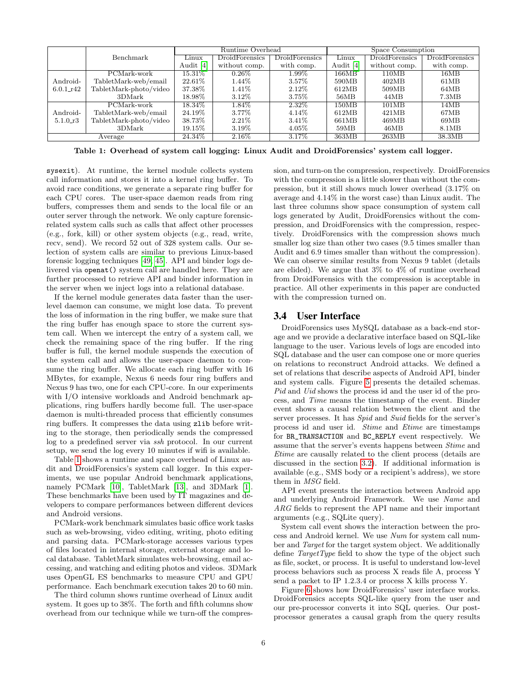<span id="page-5-0"></span>

|                                                             |                        | Runtime Overhead |                       |                       | Space Consumption |                       |                       |  |
|-------------------------------------------------------------|------------------------|------------------|-----------------------|-----------------------|-------------------|-----------------------|-----------------------|--|
|                                                             | Benchmark              | Linux            | <b>DroidForensics</b> | <b>DroidForensics</b> | Linux             | <b>DroidForensics</b> | <b>DroidForensics</b> |  |
|                                                             |                        | Audit [4]        | without comp.         | with comp.            | Audit [4]         | without comp.         | with comp.            |  |
|                                                             | PCMark-work            | 15.31\%          | $0.26\%$              | $1.99\%$              | 166MB             | 110MB                 | 16MB                  |  |
| Android-                                                    | TabletMark-web/email   | 22.61\%          | 1.44\%                | $3.57\%$              | 590MB             | 402MB                 | 61MB                  |  |
| $6.0.1$ $-12$                                               | TabletMark-photo/video | 37.38%           | $1.41\%$              | $2.12\%$              | 612MB             | 509MB                 | 64MB                  |  |
|                                                             | 3DMark                 | 18.98%           | 3.12\%                | $3.75\%$              | 56MB              | 44MB                  | 7.3MB                 |  |
|                                                             | PCMark-work            | 18.34\%          | $1.84\%$              | $2.32\%$              | 150MB             | 101MB                 | 14MB                  |  |
| Android-                                                    | TabletMark-web/email   | 24.19%           | 3.77\%                | $4.14\%$              | 612MB             | 421MB                 | 67MB                  |  |
| $5.1.0 \text{--} 3$                                         | TabletMark-photo/video | 38.73%           | $2.21\%$              | $3.41\%$              | 661MB             | 469MB                 | 69MB                  |  |
|                                                             | 3DMark                 | 19.15\%          | $3.19\%$              | $4.05\%$              | 59MB              | 46MB                  | 8.1MB                 |  |
| $3.17\%$<br>24.34%<br>$2.16\%$<br>363MB<br>263MB<br>Average |                        | 38.3MB           |                       |                       |                   |                       |                       |  |

Table 1: Overhead of system call logging: Linux Audit and DroidForensics' system call logger.

sysexit). At runtime, the kernel module collects system call information and stores it into a kernel ring buffer. To avoid race conditions, we generate a separate ring buffer for each CPU cores. The user-space daemon reads from ring buffers, compresses them and sends to the local file or an outer server through the network. We only capture forensicrelated system calls such as calls that affect other processes (e.g., fork, kill) or other system objects (e.g., read, write, recv, send). We record 52 out of 328 system calls. Our selection of system calls are similar to previous Linux-based forensic logging techniques [\[49,](#page-11-2) [45\]](#page-11-1). API and binder logs delivered via openat() system call are handled here. They are further processed to retrieve API and binder information in the server when we inject logs into a relational database.

If the kernel module generates data faster than the userlevel daemon can consume, we might lose data. To prevent the loss of information in the ring buffer, we make sure that the ring buffer has enough space to store the current system call. When we intercept the entry of a system call, we check the remaining space of the ring buffer. If the ring buffer is full, the kernel module suspends the execution of the system call and allows the user-space daemon to consume the ring buffer. We allocate each ring buffer with 16 MBytes, for example, Nexus 6 needs four ring buffers and Nexus 9 has two, one for each CPU-core. In our experiments with I/O intensive workloads and Android benchmark applications, ring buffers hardly become full. The user-space daemon is multi-threaded process that efficiently consumes ring buffers. It compresses the data using zlib before writing to the storage, then periodically sends the compressed log to a predefined server via ssh protocol. In our current setup, we send the log every 10 minutes if wifi is available.

Table [1](#page-5-0) shows a runtime and space overhead of Linux audit and DroidForensics's system call logger. In this experiments, we use popular Android benchmark applications, namely PCMark [\[10\]](#page-10-16), TabletMark [\[13\]](#page-10-17), and 3DMark [\[1\]](#page-10-18). These benchmarks have been used by IT magazines and developers to compare performances between different devices and Android versions.

PCMark-work benchmark simulates basic office work tasks such as web-browsing, video editing, writing, photo editing and parsing data. PCMark-storage accesses various types of files located in internal storage, external storage and local database. TabletMark simulates web-browsing, email accessing, and watching and editing photos and videos. 3DMark uses OpenGL ES benchmarks to measure CPU and GPU performance. Each benchmark execution takes 20 to 60 min.

The third column shows runtime overhead of Linux audit system. It goes up to 38%. The forth and fifth columns show overhead from our technique while we turn-off the compression, and turn-on the compression, respectively. DroidForensics with the compression is a little slower than without the compression, but it still shows much lower overhead (3.17% on average and 4.14% in the worst case) than Linux audit. The last three columns show space consumption of system call logs generated by Audit, DroidForensics without the compression, and DroidForensics with the compression, respectively. DroidForensics with the compression shows much smaller log size than other two cases  $(9.5 \text{ times smaller than})$ Audit and 6.9 times smaller than without the compression). We can observe similar results from Nexus 9 tablet (details are elided). We argue that 3% to 4% of runtime overhead from DroidForensics with the compression is acceptable in practice. All other experiments in this paper are conducted with the compression turned on.

#### 3.4 User Interface

DroidForensics uses MySQL database as a back-end storage and we provide a declarative interface based on SQL-like language to the user. Various levels of logs are encoded into SQL database and the user can compose one or more queries on relations to reconstruct Android attacks. We defined a set of relations that describe aspects of Android API, binder and system calls. Figure [5](#page-6-1) presents the detailed schemas. Pid and Uid shows the process id and the user id of the process, and Time means the timestamp of the event. Binder event shows a causal relation between the client and the server processes. It has Spid and Suid fields for the server's process id and user id. Stime and Etime are timestamps for BR\_TRANSACTION and BC\_REPLY event respectively. We assume that the server's events happens between Stime and Etime are causally related to the client process (details are discussed in the section [3.2\)](#page-3-0). If additional information is available (e.g., SMS body or a recipient's address), we store them in MSG field.

API event presents the interaction between Android app and underlying Android Framework. We use Name and ARG fields to represent the API name and their important arguments (e.g., SQLite query).

System call event shows the interaction between the process and Android kernel. We use Num for system call number and Target for the target system object. We additionally define *TargetType* field to show the type of the object such as file, socket, or process. It is useful to understand low-level process behaviors such as process X reads file A, process Y send a packet to IP 1.2.3.4 or process X kills process Y.

Figure [6](#page-6-2) shows how DroidForensics' user interface works. DroidForensics accepts SQL-like query from the user and our pre-processor converts it into SQL queries. Our postprocessor generates a causal graph from the query results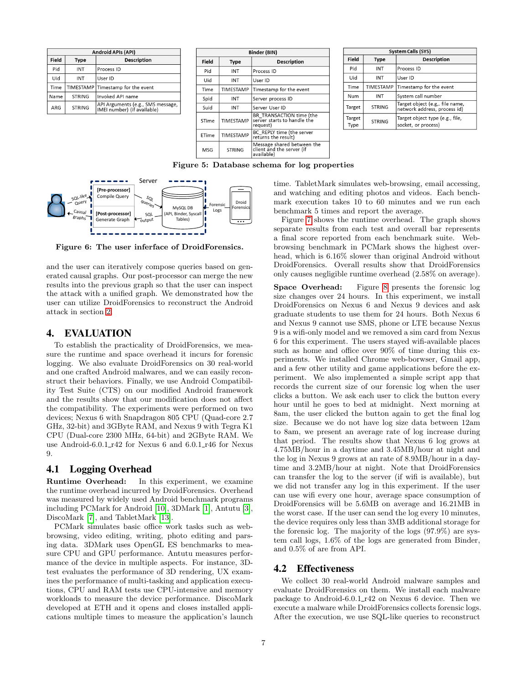<span id="page-6-1"></span>

| Android APIs (API)   |               |                                                                  |  |  |  |
|----------------------|---------------|------------------------------------------------------------------|--|--|--|
| Field                | Type          | Description                                                      |  |  |  |
| Pid                  | INT           | Process ID                                                       |  |  |  |
| Uid                  | INT           | User ID                                                          |  |  |  |
| Time                 |               | TIMESTAMP Timestamp for the event                                |  |  |  |
| Name                 | <b>STRING</b> | Invoked API name                                                 |  |  |  |
| <b>STRING</b><br>ARG |               | API Arguments (e.g., SMS message,<br>IMEI number) (if available) |  |  |  |

| Binder (BIN) |                                   |                                                                       |  |  |  |  |  |
|--------------|-----------------------------------|-----------------------------------------------------------------------|--|--|--|--|--|
| Field        | <b>Description</b><br><b>Type</b> |                                                                       |  |  |  |  |  |
| Pid          | INT                               | Process ID                                                            |  |  |  |  |  |
| Uid          | INT                               | User ID                                                               |  |  |  |  |  |
| Time         | TIMESTAMP                         | Timestamp for the event                                               |  |  |  |  |  |
| Spid         | INT                               | Server process ID                                                     |  |  |  |  |  |
| Suid         | INT                               | Server User ID                                                        |  |  |  |  |  |
| STime        | <b>TIMESTAMP</b>                  | BR TRANSACTION time (the<br>server starts to handle the<br>request)   |  |  |  |  |  |
| FTime        | <b>TIMESTAMP</b>                  | BC REPLY time (the server<br>returns the result)                      |  |  |  |  |  |
| MSG          | <b>STRING</b>                     | Message shared between the<br>client and the server (if<br>available) |  |  |  |  |  |

| <b>System Calls (SYS)</b>                  |               |                                                                 |  |  |  |
|--------------------------------------------|---------------|-----------------------------------------------------------------|--|--|--|
| <b>Field</b><br><b>Description</b><br>Type |               |                                                                 |  |  |  |
| Pid                                        | INT           | Process ID                                                      |  |  |  |
| Uid                                        | INT           | User ID                                                         |  |  |  |
| Time                                       | TIMESTAMP     | Timestamp for the event                                         |  |  |  |
| Num                                        | INT           | System call number                                              |  |  |  |
| Target                                     | <b>STRING</b> | Target object (e.g,. file name,<br>network address, process id) |  |  |  |
| Target<br>Type                             | <b>STRING</b> | Target object type (e.g., file,<br>socket, or process)          |  |  |  |

Figure 5: Database schema for log properties

<span id="page-6-2"></span>

Figure 6: The user inferface of DroidForensics.

and the user can iteratively compose queries based on generated causal graphs. Our post-processor can merge the new results into the previous graph so that the user can inspect the attack with a unified graph. We demonstrated how the user can utilize DroidForensics to reconstruct the Android attack in section [2.](#page-1-0)

#### <span id="page-6-0"></span>4. EVALUATION

To establish the practicality of DroidForensics, we measure the runtime and space overhead it incurs for forensic logging. We also evaluate DroidForensics on 30 real-world and one crafted Android malwares, and we can easily reconstruct their behaviors. Finally, we use Android Compatibility Test Suite (CTS) on our modified Android framework and the results show that our modification does not affect the compatibility. The experiments were performed on two devices; Nexus 6 with Snapdragon 805 CPU (Quad-core 2.7 GHz, 32-bit) and 3GByte RAM, and Nexus 9 with Tegra K1 CPU (Dual-core 2300 MHz, 64-bit) and 2GByte RAM. We use Android-6.0.1\_r42 for Nexus 6 and 6.0.1\_r46 for Nexus 9.

#### 4.1 Logging Overhead

Runtime Overhead: In this experiment, we examine the runtime overhead incurred by DroidForensics. Overhead was measured by widely used Android benchmark programs including PCMark for Android [\[10\]](#page-10-16), 3DMark [\[1\]](#page-10-18), Antutu [\[3\]](#page-10-19), DiscoMark [\[7\]](#page-10-20), and TabletMark [\[13\]](#page-10-17).

PCMark simulates basic office work tasks such as webbrowsing, video editing, writing, photo editing and parsing data. 3DMark uses OpenGL ES benchmarks to measure CPU and GPU performance. Antutu measures performance of the device in multiple aspects. For instance, 3Dtest evaluates the performance of 3D rendering, UX examines the performance of multi-tasking and application executions, CPU and RAM tests use CPU-intensive and memory workloads to measure the device performance. DiscoMark developed at ETH and it opens and closes installed applications multiple times to measure the application's launch time. TabletMark simulates web-browsing, email accessing, and watching and editing photos and videos. Each benchmark execution takes 10 to 60 minutes and we run each benchmark 5 times and report the average.

Figure [7](#page-7-0) shows the runtime overhead. The graph shows separate results from each test and overall bar represents a final score reported from each benchmark suite. Webbrowsing benchmark in PCMark shows the highest overhead, which is 6.16% slower than original Android without DroidForensics. Overall results show that DroidForensics only causes negligible runtime overhead (2.58% on average).

Space Overhead: Figure [8](#page-7-1) presents the forensic log size changes over 24 hours. In this experiment, we install DroidForensics on Nexus 6 and Nexus 9 devices and ask graduate students to use them for 24 hours. Both Nexus 6 and Nexus 9 cannot use SMS, phone or LTE because Nexus 9 is a wifi-only model and we removed a sim card from Nexus 6 for this experiment. The users stayed wifi-available places such as home and office over 90% of time during this experiments. We installed Chrome web-borwser, Gmail app, and a few other utility and game applications before the experiment. We also implemented a simple script app that records the current size of our forensic log when the user clicks a button. We ask each user to click the button every hour until he goes to bed at midnight. Next morning at 8am, the user clicked the button again to get the final log size. Because we do not have log size data between 12am to 8am, we present an average rate of log increase during that period. The results show that Nexus 6 log grows at 4.75MB/hour in a daytime and 3.45MB/hour at night and the log in Nexus 9 grows at an rate of 8.9MB/hour in a daytime and 3.2MB/hour at night. Note that DroidForensics can transfer the log to the server (if wifi is available), but we did not transfer any log in this experiment. If the user can use wifi every one hour, average space consumption of DroidForensics will be 5.6MB on average and 16.21MB in the worst case. If the user can send the log every 10 minutes, the device requires only less than 3MB additional storage for the forensic log. The majority of the logs (97.9%) are system call logs, 1.6% of the logs are generated from Binder, and 0.5% of are from API.

#### 4.2 Effectiveness

We collect 30 real-world Android malware samples and evaluate DroidForensics on them. We install each malware package to Android-6.0.1 r42 on Nexus 6 device. Then we execute a malware while DroidForensics collects forensic logs. After the execution, we use SQL-like queries to reconstruct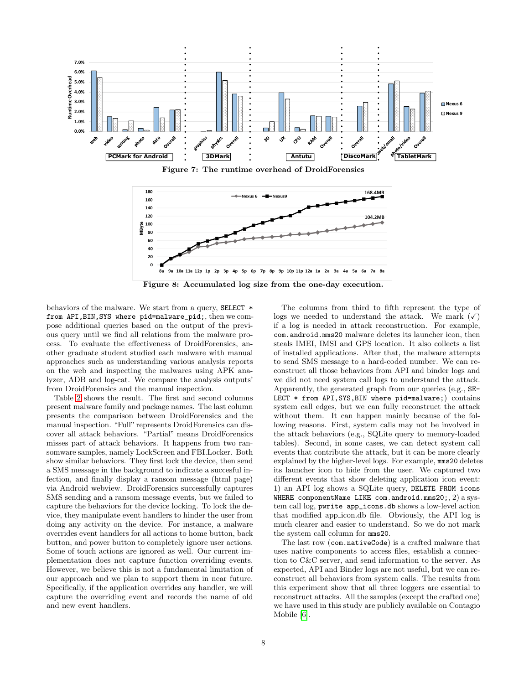<span id="page-7-0"></span>

<span id="page-7-1"></span>

Figure 8: Accumulated log size from the one-day execution.

behaviors of the malware. We start from a query, SELECT \* from API,BIN,SYS where pid=malware\_pid;, then we compose additional queries based on the output of the previous query until we find all relations from the malware process. To evaluate the effectiveness of DroidForensics, another graduate student studied each malware with manual approaches such as understanding various analysis reports on the web and inspecting the malwares using APK analyzer, ADB and log-cat. We compare the analysis outputs' from DroidForensics and the manual inspection.

Table [2](#page-8-1) shows the result. The first and second columns present malware family and package names. The last column presents the comparison between DroidForensics and the manual inspection. "Full" represents DroidForensics can discover all attack behaviors. "Partial" means DroidForensics misses part of attack behaviors. It happens from two ransomware samples, namely LockScreen and FBI.Locker. Both show similar behaviors. They first lock the device, then send a SMS message in the background to indicate a succesful infection, and finally display a ransom message (html page) via Android webview. DroidForensics successfully captures SMS sending and a ransom message events, but we failed to capture the behaviors for the device locking. To lock the device, they manipulate event handlers to hinder the user from doing any activity on the device. For instance, a malware overrides event handlers for all actions to home button, back button, and power button to completely ignore user actions. Some of touch actions are ignored as well. Our current implementation does not capture function overriding events. However, we believe this is not a fundamental limitation of our approach and we plan to support them in near future. Specifically, if the application overrides any handler, we will capture the overriding event and records the name of old and new event handlers.

The columns from third to fifth represent the type of logs we needed to understand the attack. We mark  $(\checkmark)$ if a log is needed in attack reconstruction. For example, com.android.mms20 malware deletes its launcher icon, then steals IMEI, IMSI and GPS location. It also collects a list of installed applications. After that, the malware attempts to send SMS message to a hard-coded number. We can reconstruct all those behaviors from API and binder logs and we did not need system call logs to understand the attack. Apparently, the generated graph from our queries (e.g., SE-LECT \* from API, SYS, BIN where pid=malware;) contains system call edges, but we can fully reconstruct the attack without them. It can happen mainly because of the following reasons. First, system calls may not be involved in the attack behaviors (e.g., SQLite query to memory-loaded tables). Second, in some cases, we can detect system call events that contribute the attack, but it can be more clearly explained by the higher-level logs. For example, mms20 deletes its launcher icon to hide from the user. We captured two different events that show deleting application icon event: 1) an API log shows a SQLite query, DELETE FROM icons WHERE componentName LIKE com.android.mms20;, 2) a system call log, pwrite app\_icons.db shows a low-level action that modified app icon.db file. Obviously, the API log is much clearer and easier to understand. So we do not mark the system call column for mms20.

The last row (com.nativeCode) is a crafted malware that uses native components to access files, establish a connection to C&C server, and send information to the server. As expected, API and Binder logs are not useful, but we can reconstruct all behaviors from system calls. The results from this experiment show that all three loggers are essential to reconstruct attacks. All the samples (except the crafted one) we have used in this study are publicly available on Contagio Mobile [\[6\]](#page-10-21).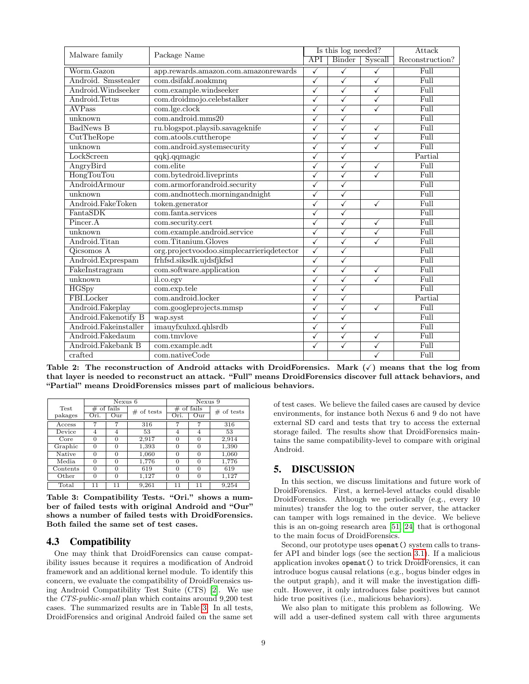<span id="page-8-1"></span>

| Malware family        | Package Name                                           | Is this log needed?     |              |                         | Attack          |
|-----------------------|--------------------------------------------------------|-------------------------|--------------|-------------------------|-----------------|
|                       |                                                        |                         | Binder       | Syscall                 | Reconstruction? |
| Worm.Gazon            | app.rewards.amazon.com.amazonrewards                   | ✓                       | √            | ✓                       | Full            |
| Android. Smsstealer   | com.dsifakf.aoakmnq                                    | ✓                       | ✓            | $\checkmark$            | Full            |
| Android. Windseeker   | com.example.windseeker                                 | ✓                       | ✓            | $\checkmark$            | Full            |
| Android.Tetus         | com.droidmojo.celebstalker                             | ✓                       | ✓            | $\checkmark$            | Full            |
| <b>AVPass</b>         | com.lge.close                                          | ✓                       | ✓            | ✓                       | Full            |
| unknown               | com.android.mms20                                      | ✓                       | ✓            |                         | Full            |
| <b>BadNews B</b>      | ru.blogspot.playsib.savageknife                        | ✓                       | ✓            | $\checkmark$            | Full            |
| CutTheRope            | com. atools. cut the rope                              | ✓                       | ✓            | $\overline{\checkmark}$ | Full            |
| unknown               | com.android.systemsecurity                             | ✓                       | √            | ✓                       | Full            |
| LockScreen            | qqkj.qqmagic                                           | ✓                       | ✓            |                         | Partial         |
| AngryBird             | com.elite                                              | ✓                       | ✓            | $\checkmark$            | Full            |
| HongTouTou            | com.bytedroid.liveprints                               | ✓                       | ✓            | $\overline{\checkmark}$ | Full            |
| AndroidArmour         | com.armorforandroid.security                           | ✓                       | ✓            |                         | Full            |
| unknown               | com.andnottech.morningandnight                         | $\checkmark$            | ✓            |                         | Full            |
| Android.FakeToken     | token.generator                                        | ✓                       | ✓            | ✓                       | Full            |
| FantaSDK              | com.fanta.services                                     | $\checkmark$            | ✓            |                         | Full            |
| Pincer.A              | com.security.cert                                      | ✓                       | √            | $\checkmark$            | Full            |
| unknown               | com.example.android.service                            | √                       | ✓            | ✓                       | Full            |
| Android.Titan         | com.Titanium.Gloves                                    | ✓                       | ✓            | ✓                       | Full            |
| Qicsomos A            | ${\bf org. project vodoo. simple carrier iq detector}$ | $\overline{\checkmark}$ | ✓            |                         | Full            |
| Android.Exprespam     | frhfsd.siksdk.ujdsfjkfsd                               | ✓                       | √            |                         | Full            |
| FakeInstragram        | com.software.application                               | $\tilde{\checkmark}$    | ✓            | ✓                       | Full            |
| unknown               | il.co.egv                                              | ✓                       | ✓            | ✓                       | Full            |
| <b>HGSpy</b>          | com.exp.tele                                           | ✓                       | ✓            |                         | Full            |
| FBI.Locker            | com.android.locker                                     | ✓                       | ✓            |                         | Partial         |
| Android.Fakeplay      | com.googleprojects.mmsp                                | ✓                       | ✓            | ✓                       | Full            |
| Android.Fakenotify B  | wap.syst                                               | ✓                       | $\checkmark$ |                         | Full            |
| Android.Fakeinstaller | imauyfxuhxd.qhlsrdb                                    | ✓                       | ✓            |                         | Full            |
| Android.Fakedaum      | com.tmvlove                                            | ✓                       | ✓            | ✓                       | Full            |
| Android.Fakebank B    | com. example. a dt                                     | ✓                       | ✓            | ✓                       | Full            |
| crafted               | com. nativeCode                                        |                         |              | ✓                       | Full            |

Table 2: The reconstruction of Android attacks with DroidForensics. Mark  $(\checkmark)$  means that the log from that layer is needed to reconstruct an attack. "Full" means DroidForensics discover full attack behaviors, and "Partial" means DroidForensics misses part of malicious behaviors.

<span id="page-8-2"></span>

|          | Nexus 6  |                |              | Nexus 9        |                 |              |  |
|----------|----------|----------------|--------------|----------------|-----------------|--------------|--|
| Test     |          | $#$ of fails   | $#$ of tests | $#$ of fails   |                 | $#$ of tests |  |
| pakages  | Ori.     | Our            |              | Ori.           | $_{\text{Our}}$ |              |  |
| Access   | 7        | 7              | 316          | 7              | 7               | 316          |  |
| Device   | 4        | $\overline{4}$ | 53           | $\overline{4}$ | 4               | 53           |  |
| Core     | 0        | $\Omega$       | 2,917        | $\Omega$       | 0               | 2,914        |  |
| Graphic  | $\Omega$ | $\Omega$       | 1,393        | $\Omega$       | 0               | 1,390        |  |
| Native   | 0        | $\Omega$       | 1,060        | $\Omega$       | 0               | 1,060        |  |
| Media    | $\Omega$ | $\Omega$       | 1,776        | $\Omega$       | $\Omega$        | 1,776        |  |
| Contents | $\Omega$ | $\Omega$       | 619          | $\Omega$       | 0               | 619          |  |
| Other    | 0        | $\Omega$       | 1.127        | $\Omega$       | $\Omega$        | 1.127        |  |
| Total    | 11       |                | 9,261        |                |                 | 9,254        |  |

Table 3: Compatibility Tests. "Ori." shows a number of failed tests with original Android and "Our" shows a number of failed tests with DroidForensics. Both failed the same set of test cases.

#### 4.3 Compatibility

One may think that DroidForensics can cause compatibility issues because it requires a modification of Android framework and an additional kernel module. To identify this concern, we evaluate the compatibility of DroidForensics using Android Compatibility Test Suite (CTS) [\[2\]](#page-10-22). We use the CTS-public-small plan which contains around 9,200 test cases. The summarized results are in Table [3.](#page-8-2) In all tests, DroidForensics and original Android failed on the same set of test cases. We believe the failed cases are caused by device environments, for instance both Nexus 6 and 9 do not have external SD card and tests that try to access the external storage failed. The results show that DroidForensics maintains the same compatibility-level to compare with original Android.

# <span id="page-8-0"></span>5. DISCUSSION

In this section, we discuss limitations and future work of DroidForensics. First, a kernel-level attacks could disable DroidForensics. Although we periodically (e.g., every 10 minutes) transfer the log to the outer server, the attacker can tamper with logs remained in the device. We believe this is an on-going research area [\[51,](#page-11-19) [24\]](#page-10-23) that is orthogonal to the main focus of DroidForensics.

Second, our prototype uses openat () system calls to transfer API and binder logs (see the section [3.1\)](#page-3-2). If a malicious application invokes openat() to trick DroidForensics, it can introduce bogus causal relations (e.g., bogus binder edges in the output graph), and it will make the investigation difficult. However, it only introduces false positives but cannot hide true positives (i.e., malicious behaviors).

We also plan to mitigate this problem as following. We will add a user-defined system call with three arguments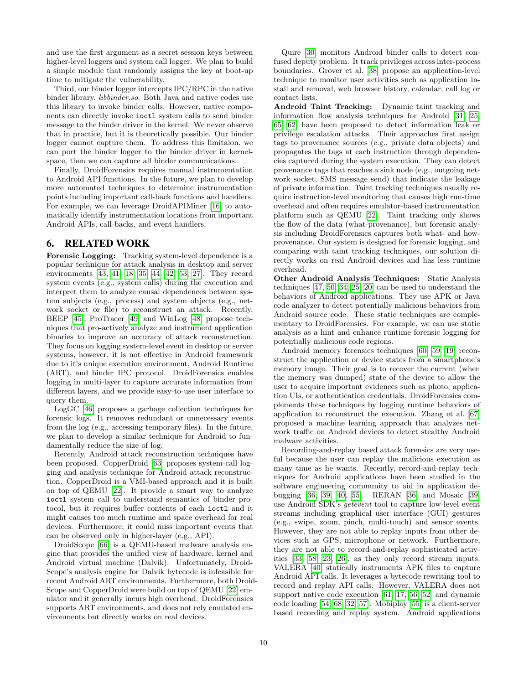and use the first argument as a secret session keys between higher-level loggers and system call logger. We plan to build a simple module that randomly assigns the key at boot-up time to mitigate the vulnerability.

Third, our binder logger intercepts IPC/RPC in the native binder library, libbinder.so. Both Java and native codes use this library to invoke binder calls. However, native components can directly invoke ioctl system calls to send binder message to the binder driver in the kernel. We never observe that in practice, but it is theoretically possible. Our binder logger cannot capture them. To address this limitaion, we can port the binder logger to the binder driver in kernelspace, then we can capture all binder communications.

Finally, DroidForensics requires manual instrumentation to Android API functions. In the future, we plan to develop more automated techniques to determine instrumentation points including important call-back functions and handlers. For example, we can leverage DroidAPIMiner [\[16\]](#page-10-24) to automatically identify instrumentation locations from important Android APIs, call-backs, and event handlers.

### <span id="page-9-0"></span>6. RELATED WORK

Forensic Logging: Tracking system-level dependence is a popular technique for attack analysis in desktop and server environments [\[43,](#page-11-0) [41,](#page-11-20) [18,](#page-10-25) [35,](#page-11-21) [44,](#page-11-22) [42,](#page-11-23) [53,](#page-11-24) [27\]](#page-10-26). They record system events (e.g., system calls) during the execution and interpret them to analyze causal dependences between system subjects (e.g., process) and system objects (e.g., network socket or file) to reconstruct an attack. Recently, BEEP [\[45\]](#page-11-1), ProTracer [\[49\]](#page-11-2) and WinLog [\[48\]](#page-11-25) propose techniques that pro-actively analyze and instrument application binaries to improve an accuracy of attack reconstruction. They focus on logging system-level event in desktop or server systems, however, it is not effective in Android framework due to it's unique execution environment, Android Runtime (ART), and binder IPC protocol. DroidForensics enables logging in multi-layer to capture accurate information from different layers, and we provide easy-to-use user interface to query them.

LogGC [\[46\]](#page-11-26) proposes a garbage collection techniques for forensic logs. It removes redundant or unnecessary events from the log (e.g., accessing temporary files). In the future, we plan to develop a similar technique for Android to fundamentally reduce the size of log.

Recently, Android attack reconstruction techniques have been proposed. CopperDroid [\[63\]](#page-11-3) proposes system-call logging and analysis technique for Android attack reconstruction. CopperDroid is a VMI-based approach and it is built on top of QEMU [\[22\]](#page-10-3). It provide a smart way to analyze ioctl system call to understand semantics of binder protocol, but it requires buffer contents of each ioctl and it might causes too much runtime and space overhead for real devices. Furthermore, it could miss important events that can be observed only in higher-layer (e.g., API).

DroidScope [\[66\]](#page-11-4) is a QEMU-based malware analysis engine that provides the unified view of hardware, kernel and Android virtual machine (Dalvik). Unfortunately, Droid-Scope's analysis engine for Dalvik bytecode is infeasible for recent Android ART environments. Furthermore, both Droid-Scope and CopperDroid were build on top of QEMU [\[22\]](#page-10-3) emulator and it generally incurs high overhead. DroidForensics supports ART environments, and does not rely emulated environments but directly works on real devices.

Quire [\[30\]](#page-10-27) monitors Android binder calls to detect confused deputy problem. It track privileges across inter-process boundaries. Grover et al. [\[38\]](#page-11-27) propose an application-level technique to monitor user activities such as application install and removal, web browser history, calendar, call log or contact lists.

Android Taint Tracking: Dynamic taint tracking and information flow analysis techniques for Android [\[31,](#page-10-8) [25,](#page-10-9) [65,](#page-11-5) [62\]](#page-11-6) have been proposed to detect information leak or privilege escalation attacks. Their approaches first assign tags to provenance sources (e.g., private data objects) and propagates the tags at each instruction through dependencies captured during the system execution. They can detect provenance tags that reaches a sink node (e.g., outgoing network socket, SMS message send) that indicate the leakage of private information. Taint tracking techniques usually require instruction-level monitoring that causes high run-time overhead and often requires emulator-based instrumentation platform such as QEMU [\[22\]](#page-10-3). Taint tracking only shows the flow of the data (what-provenance), but forensic analysis including DroidForensics captures both what- and howprovenance. Our system is designed for forensic logging, and comparing with taint tracking techniques, our solution directly works on real Android devices and has less runtime overhead.

Other Android Analysis Techniques: Static Analysis techniques [\[47,](#page-11-15) [50,](#page-11-16) [34,](#page-11-28) [25,](#page-10-9) [20\]](#page-10-28) can be used to understand the behaviors of Android applications. They use APK or Java code analyzer to detect potentially malicious behaviors from Android source code. These static techniques are complementary to DroidForensics. For example, we can use static analysis as a hint and enhance runtime forensic logging for potentially malicious code regions.

Android memory forensics techniques [\[60,](#page-11-29) [59,](#page-11-30) [19\]](#page-10-29) reconstruct the application or device states from a smartphone's memory image. Their goal is to recover the current (when the memory was dumped) state of the device to allow the user to acquire important evidences such as photo, application UIs, or authentication credentials. DroidForensics complements these techniques by logging runtime behaviors of application to reconstruct the execution. Zhang et al. [\[67\]](#page-11-31) proposed a machine learning approach that analyzes network traffic on Android devices to detect stealthy Android malware activities.

Recording-and-replay based attack forensics are very useful because the user can replay the malicious execution as many time as he wants. Recently, record-and-replay techniques for Android applications have been studied in the software engineering community to aid in application debugging [\[36,](#page-11-32) [39,](#page-11-33) [40,](#page-11-34) [55\]](#page-11-35). RERAN [\[36\]](#page-11-32) and Mosaic [\[39\]](#page-11-33) use Android SDK's getevent tool to capture low-level event streams including graphical user interface (GUI) gestures (e.g., swipe, zoom, pinch, multi-touch) and sensor events. However, they are not able to replay inputs from other devices such as GPS, microphone or network. Furthermore, they are not able to record-and-replay sophisticated activities [\[33,](#page-11-36) [58,](#page-11-37) [23,](#page-10-30) [26\]](#page-10-31), as they only record stream inputs. VALERA [\[40\]](#page-11-34) statically instruments APK files to capture Android API calls. It leverages a bytecode rewriting tool to record and replay API calls. However, VALERA does not support native code execution [\[61,](#page-11-11) [17,](#page-10-12) [56,](#page-11-12) [52\]](#page-11-13) and dynamic code loading [\[54,](#page-11-7) [68,](#page-11-8) [32,](#page-11-9) [57\]](#page-11-10). Mobiplay [\[55\]](#page-11-35) is a client-server based recording and replay system. Android applications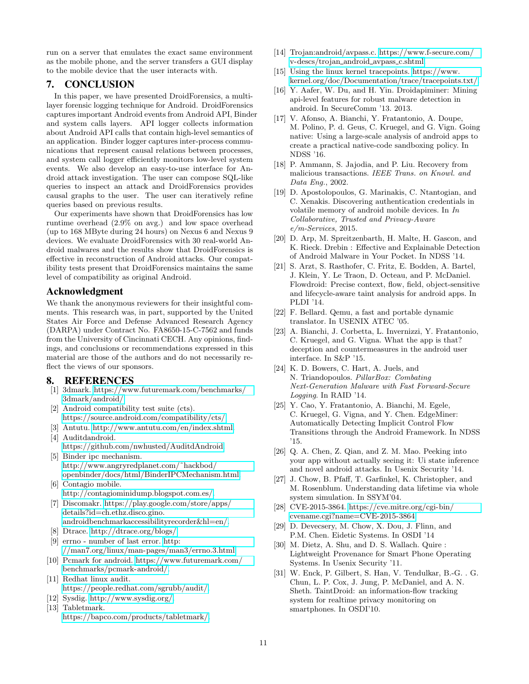run on a server that emulates the exact same environment as the mobile phone, and the server transfers a GUI display to the mobile device that the user interacts with.

## <span id="page-10-5"></span>7. CONCLUSION

In this paper, we have presented DroidForensics, a multilayer forensic logging technique for Android. DroidForensics captures important Android events from Android API, Binder and system calls layers. API logger collects information about Android API calls that contain high-level semantics of an application. Binder logger captures inter-process communications that represent causal relations between processes, and system call logger efficiently monitors low-level system events. We also develop an easy-to-use interface for Android attack investigation. The user can compose SQL-like queries to inspect an attack and DroidForensics provides causal graphs to the user. The user can iteratively refine queries based on previous results.

Our experiments have shown that DroidForensics has low runtime overhead (2.9% on avg.) and low space overhead (up to 168 MByte during 24 hours) on Nexus 6 and Nexus 9 devices. We evaluate DroidForensics with 30 real-world Android malwares and the results show that DroidForensics is effective in reconstruction of Android attacks. Our compatibility tests present that DroidForensics maintains the same level of compatibility as original Android.

#### Acknowledgment

We thank the anonymous reviewers for their insightful comments. This research was, in part, supported by the United States Air Force and Defense Advanced Research Agency (DARPA) under Contract No. FA8650-15-C-7562 and funds from the University of Cincinnati CECH. Any opinions, findings, and conclusions or recommendations expressed in this material are those of the authors and do not necessarily reflect the views of our sponsors.

#### 8. REFERENCES

- <span id="page-10-18"></span>[1] 3dmark. [https://www.futuremark.com/benchmarks/](https://www.futuremark.com/benchmarks/3dmark/android/) [3dmark/android/.](https://www.futuremark.com/benchmarks/3dmark/android/)
- <span id="page-10-22"></span>[2] Android compatibility test suite (cts). [https://source.android.com/compatibility/cts/.](https://source.android.com/compatibility/cts/)
- <span id="page-10-19"></span><span id="page-10-4"></span>[3] Antutu. [http://www.antutu.com/en/index.shtml.](http://www.antutu.com/en/index.shtml) [4] Auditdandroid.
	- [https://github.com/nwhusted/AuditdAndroid.](https://github.com/nwhusted/AuditdAndroid)
- <span id="page-10-11"></span>[5] Binder ipc mechanism. [http://www.angryredplanet.com/˜hackbod/](http://www.angryredplanet.com/~hackbod/openbinder/docs/html/BinderIPCMechanism.html) [openbinder/docs/html/BinderIPCMechanism.html.](http://www.angryredplanet.com/~hackbod/openbinder/docs/html/BinderIPCMechanism.html)
- <span id="page-10-21"></span>[6] Contagio mobile. [http://contagiominidump.blogspot.com.es/.](http://contagiominidump.blogspot.com.es/)
- <span id="page-10-20"></span>[7] Discomakr. [https://play.google.com/store/apps/](https://play.google.com/store/apps/details?id=ch.ethz.disco.gino.androidbenchmarkaccessibilityrecorder&hl=en/) [details?id=ch.ethz.disco.gino.](https://play.google.com/store/apps/details?id=ch.ethz.disco.gino.androidbenchmarkaccessibilityrecorder&hl=en/) [androidbenchmarkaccessibilityrecorder&hl=en/.](https://play.google.com/store/apps/details?id=ch.ethz.disco.gino.androidbenchmarkaccessibilityrecorder&hl=en/)
- <span id="page-10-14"></span>[8] Dtrace. [http://dtrace.org/blogs/.](http://dtrace.org/blogs/)
- <span id="page-10-10"></span>[9] errno - number of last error. [http:](http://man7.org/linux/man-pages/man3/errno.3.html) [//man7.org/linux/man-pages/man3/errno.3.html.](http://man7.org/linux/man-pages/man3/errno.3.html)
- <span id="page-10-16"></span>[10] Pcmark for android. [https://www.futuremark.com/](https://www.futuremark.com/benchmarks/pcmark-android/) [benchmarks/pcmark-android/.](https://www.futuremark.com/benchmarks/pcmark-android/)
- <span id="page-10-1"></span>[11] Redhat linux audit. [https://people.redhat.com/sgrubb/audit/.](https://people.redhat.com/sgrubb/audit/)
- <span id="page-10-7"></span>[12] Sysdig. [http://www.sysdig.org/.](http://www.sysdig.org/)
- <span id="page-10-17"></span>[13] Tabletmark.
- <span id="page-10-6"></span>[14] Trojan:android/avpass.c. [https://www.f-secure.com/](https://www.f-secure.com/v-descs/trojan_android_avpass_c.shtml) [v-descs/trojan](https://www.f-secure.com/v-descs/trojan_android_avpass_c.shtml) android avpass c.shtml.
- <span id="page-10-15"></span>[15] Using the linux kernel tracepoints. [https://www.](https://www.kernel.org/doc/Documentation/trace/tracepoints.txt/) [kernel.org/doc/Documentation/trace/tracepoints.txt/.](https://www.kernel.org/doc/Documentation/trace/tracepoints.txt/)
- <span id="page-10-24"></span>[16] Y. Aafer, W. Du, and H. Yin. Droidapiminer: Mining api-level features for robust malware detection in android. In SecureComm '13. 2013.
- <span id="page-10-12"></span>[17] V. Afonso, A. Bianchi, Y. Fratantonio, A. Doupe, M. Polino, P. d. Geus, C. Kruegel, and G. Vign. Going native: Using a large-scale analysis of android apps to create a practical native-code sandboxing policy. In NDSS '16.
- <span id="page-10-25"></span>[18] P. Ammann, S. Jajodia, and P. Liu. Recovery from malicious transactions. IEEE Trans. on Knowl. and Data Eng., 2002.
- <span id="page-10-29"></span>[19] D. Apostolopoulos, G. Marinakis, C. Ntantogian, and C. Xenakis. Discovering authentication credentials in volatile memory of android mobile devices. In In Collaborative, Trusted and Privacy-Aware e/m-Services, 2015.
- <span id="page-10-28"></span>[20] D. Arp, M. Spreitzenbarth, H. Malte, H. Gascon, and K. Rieck. Drebin : Effective and Explainable Detection of Android Malware in Your Pocket. In NDSS '14.
- <span id="page-10-13"></span>[21] S. Arzt, S. Rasthofer, C. Fritz, E. Bodden, A. Bartel, J. Klein, Y. Le Traon, D. Octeau, and P. McDaniel. Flowdroid: Precise context, flow, field, object-sensitive and lifecycle-aware taint analysis for android apps. In PLDI '14.
- <span id="page-10-3"></span>[22] F. Bellard. Qemu, a fast and portable dynamic translator. In USENIX ATEC '05.
- <span id="page-10-30"></span>[23] A. Bianchi, J. Corbetta, L. Invernizzi, Y. Fratantonio, C. Kruegel, and G. Vigna. What the app is that? deception and countermeasures in the android user interface. In S&P '15.
- <span id="page-10-23"></span>[24] K. D. Bowers, C. Hart, A. Juels, and N. Triandopoulos. PillarBox: Combating Next-Generation Malware with Fast Forward-Secure Logging. In RAID '14.
- <span id="page-10-9"></span>[25] Y. Cao, Y. Fratantonio, A. Bianchi, M. Egele, C. Kruegel, G. Vigna, and Y. Chen. EdgeMiner: Automatically Detecting Implicit Control Flow Transitions through the Android Framework. In NDSS '15.
- <span id="page-10-31"></span>[26] Q. A. Chen, Z. Qian, and Z. M. Mao. Peeking into your app without actually seeing it: Ui state inference and novel android attacks. In Usenix Security '14.
- <span id="page-10-26"></span>[27] J. Chow, B. Pfaff, T. Garfinkel, K. Christopher, and M. Rosenblum. Understanding data lifetime via whole system simulation. In SSYM'04.
- <span id="page-10-0"></span>[28] CVE-2015-3864. [https://cve.mitre.org/cgi-bin/](https://cve.mitre.org/cgi-bin/cvename.cgi?name=CVE-2015-3864) [cvename.cgi?name=CVE-2015-3864.](https://cve.mitre.org/cgi-bin/cvename.cgi?name=CVE-2015-3864)
- <span id="page-10-2"></span>[29] D. Devecsery, M. Chow, X. Dou, J. Flinn, and P.M. Chen. Eidetic Systems. In OSDI '14
- <span id="page-10-27"></span>[30] M. Dietz, A. Shu, and D. S. Wallach. Quire : Lightweight Provenance for Smart Phone Operating Systems. In Usenix Security '11.
- <span id="page-10-8"></span>[31] W. Enck, P. Gilbert, S. Han, V. Tendulkar, B.-G. . G. Chun, L. P. Cox, J. Jung, P. McDaniel, and A. N. Sheth. TaintDroid: an information-flow tracking system for realtime privacy monitoring on smartphones. In OSDI'10.

[https://bapco.com/products/tabletmark/.](https://bapco.com/products/tabletmark/)